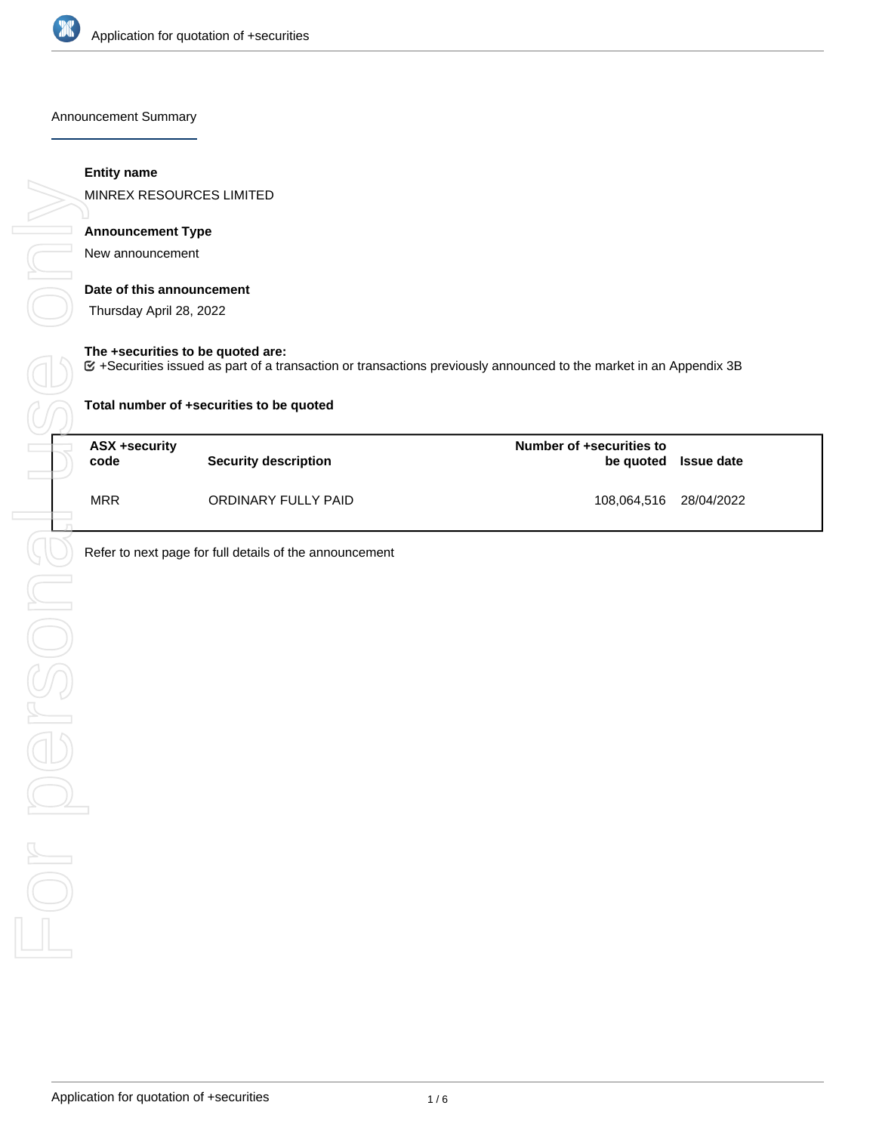

Announcement Summary

### **Entity name**

MINREX RESOURCES LIMITED

# **Announcement Type**

New announcement

### **Date of this announcement**

Thursday April 28, 2022

### **The +securities to be quoted are:**

+Securities issued as part of a transaction or transactions previously announced to the market in an Appendix 3B

| Total number of +securities to be quoted |                      |                          |                      |  |  |  |
|------------------------------------------|----------------------|--------------------------|----------------------|--|--|--|
| ASX +security<br>code                    | Security description | Number of +securities to | be quoted Issue date |  |  |  |
| <b>MRR</b>                               | ORDINARY FULLY PAID  | 108,064,516 28/04/2022   |                      |  |  |  |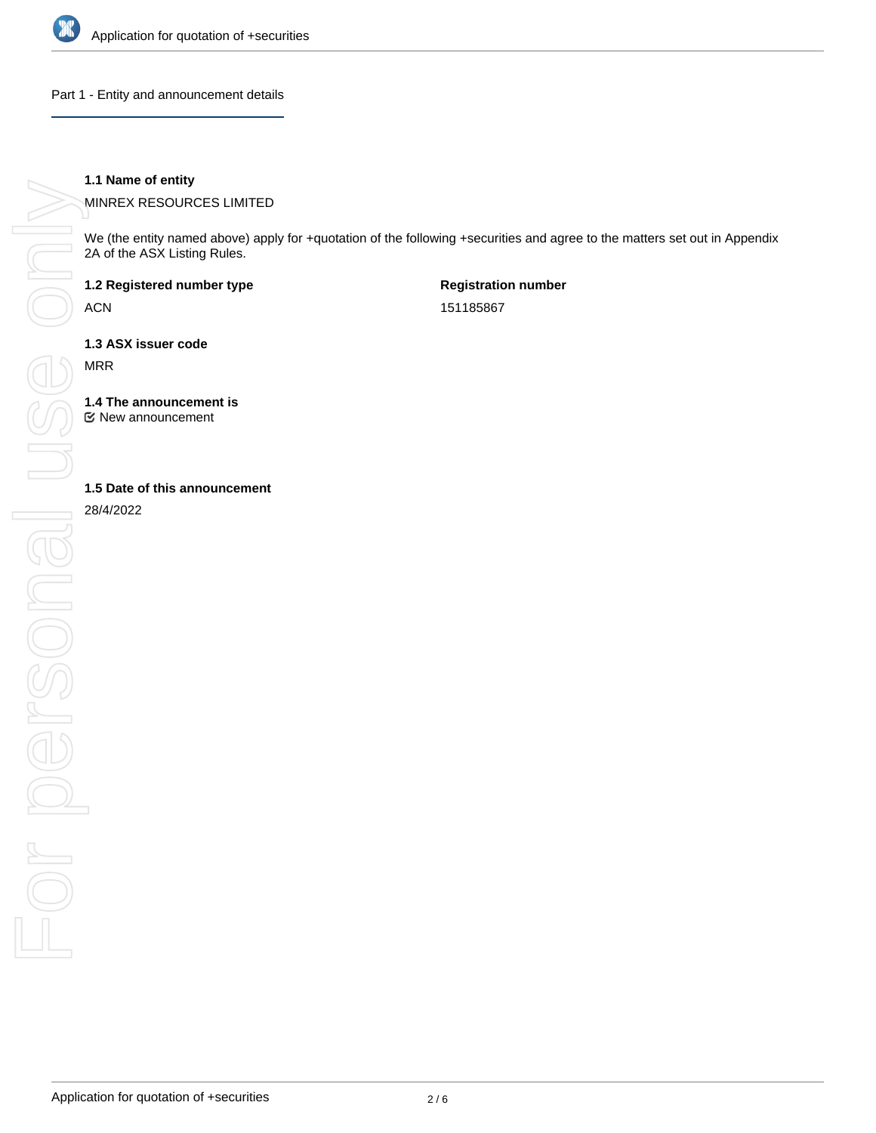

Part 1 - Entity and announcement details

### **1.1 Name of entity**

MINREX RESOURCES LIMITED

We (the entity named above) apply for +quotation of the following +securities and agree to the matters set out in Appendix 2A of the ASX Listing Rules.

**1.2 Registered number type**

ACN

**Registration number** 151185867

**1.3 ASX issuer code**

MRR

**1.4 The announcement is**

New announcement

28/4/2022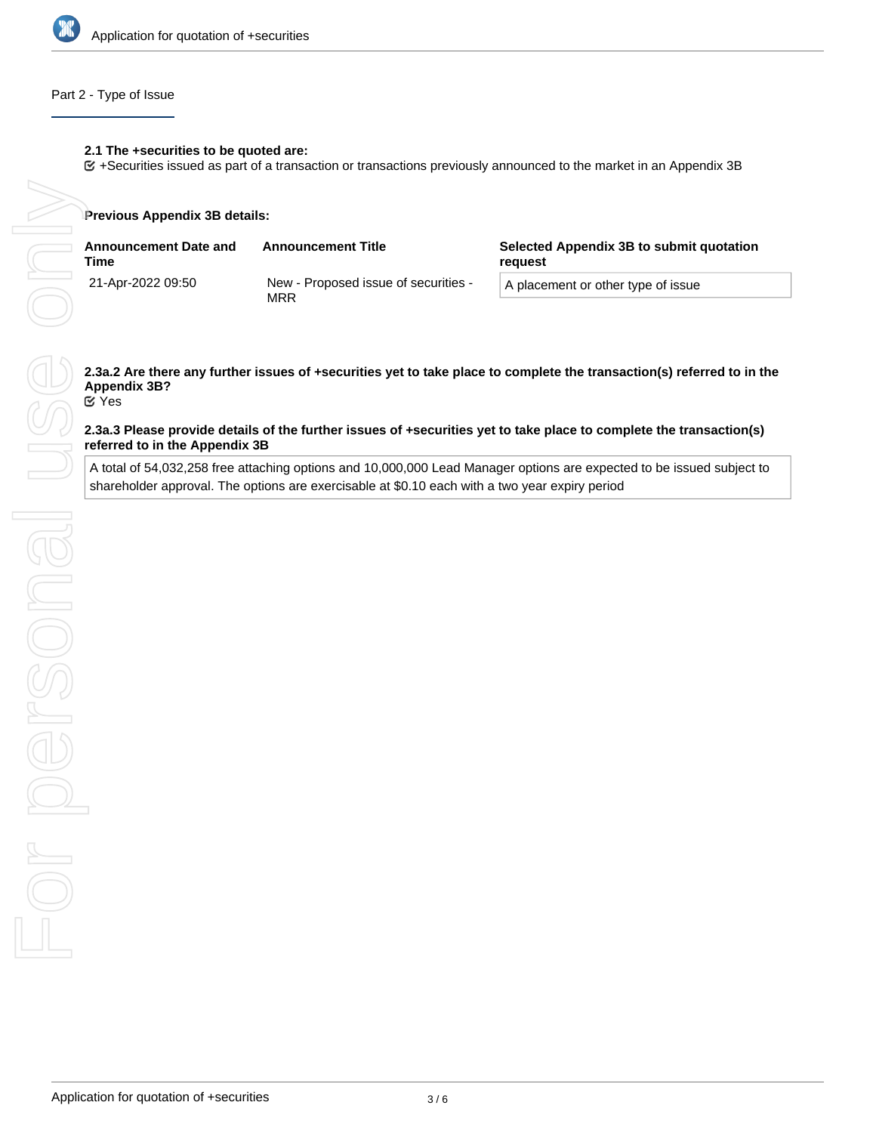

### Part 2 - Type of Issue

# **2.1 The +securities to be quoted are:**

+Securities issued as part of a transaction or transactions previously announced to the market in an Appendix 3B

### **Previous Appendix 3B details:**

| <b>Announcement Date and</b><br>Time | <b>Announcement Title</b>                   | Selected Appendix 3B to submit quotation<br>reauest |
|--------------------------------------|---------------------------------------------|-----------------------------------------------------|
| 21-Apr-2022 09:50                    | New - Proposed issue of securities -<br>MRR | A placement or other type of issue                  |

# **Appendix 3B?**

Yes

### **2.3a.3 Please provide details of the further issues of +securities yet to take place to complete the transaction(s) referred to in the Appendix 3B**

A total of 54,032,258 free attaching options and 10,000,000 Lead Manager options are expected to be issued subject to shareholder approval. The options are exercisable at \$0.10 each with a two year expiry period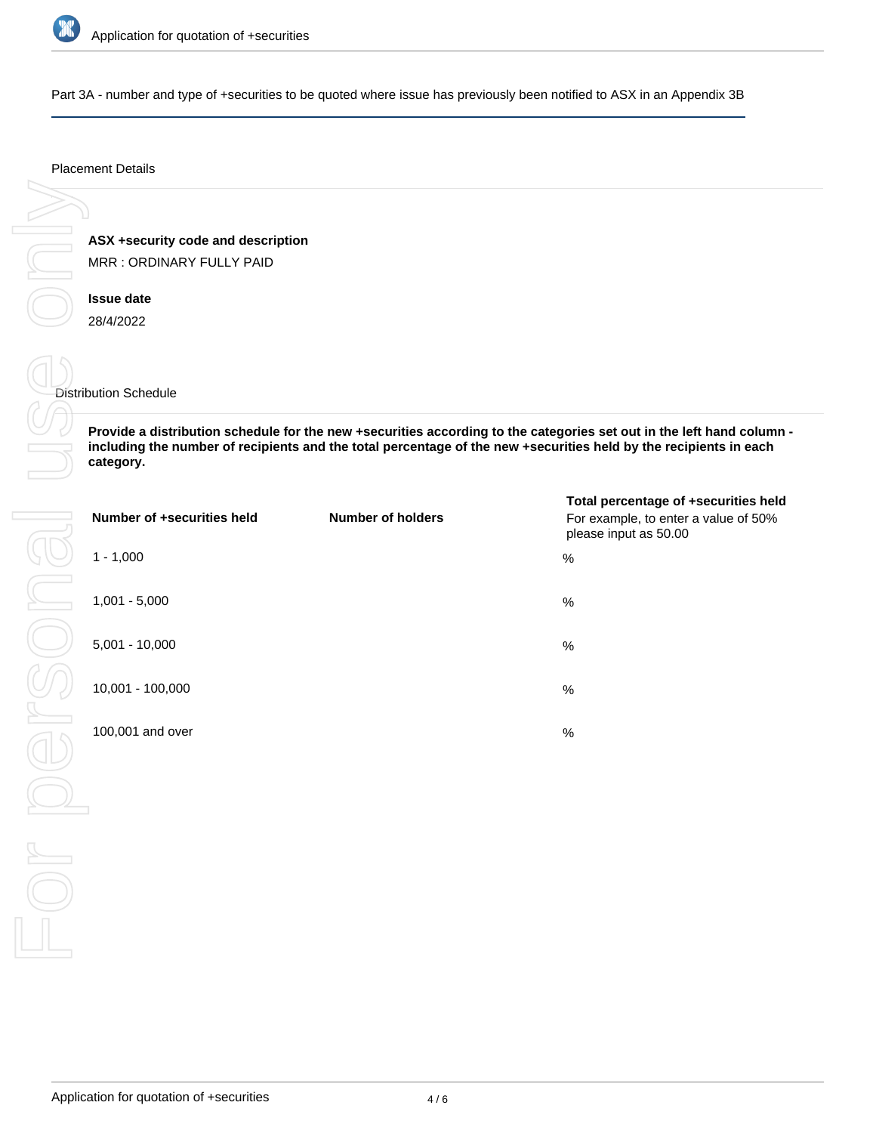

Part 3A - number and type of +securities to be quoted where issue has previously been notified to ASX in an Appendix 3B

### Placement Details

**ASX +security code and description** MRR : ORDINARY FULLY PAID

**Issue date** 28/4/2022

### Distribution Schedule

**Provide a distribution schedule for the new +securities according to the categories set out in the left hand column including the number of recipients and the total percentage of the new +securities held by the recipients in each category.**

| Number of +securities held | <b>Number of holders</b> | Total percentage of +securities held<br>For example, to enter a value of 50%<br>please input as 50.00 |
|----------------------------|--------------------------|-------------------------------------------------------------------------------------------------------|
| $1 - 1,000$                |                          | %                                                                                                     |
| $1,001 - 5,000$            |                          | $\%$                                                                                                  |
| $5,001 - 10,000$           |                          | %                                                                                                     |
| 10,001 - 100,000           |                          | %                                                                                                     |
| 100,001 and over           |                          | %                                                                                                     |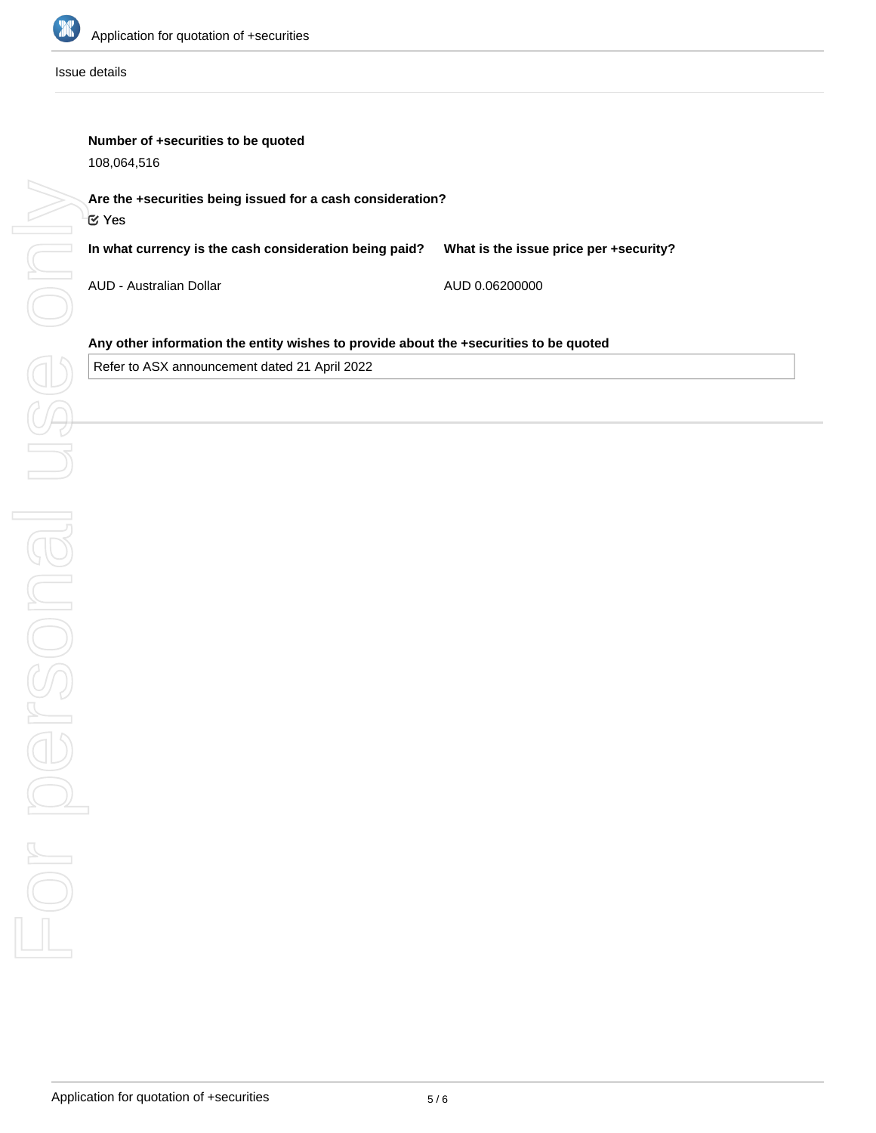

Issue details

# **Number of +securities to be quoted**

108,064,516

**In what currency is the cash consideration being paid? What is the issue price per +security?**

AUD - Australian Dollar

AUD 0.06200000

# **Any other information the entity wishes to provide about the +securities to be quoted**

Refer to ASX announcement dated 21 April 2022